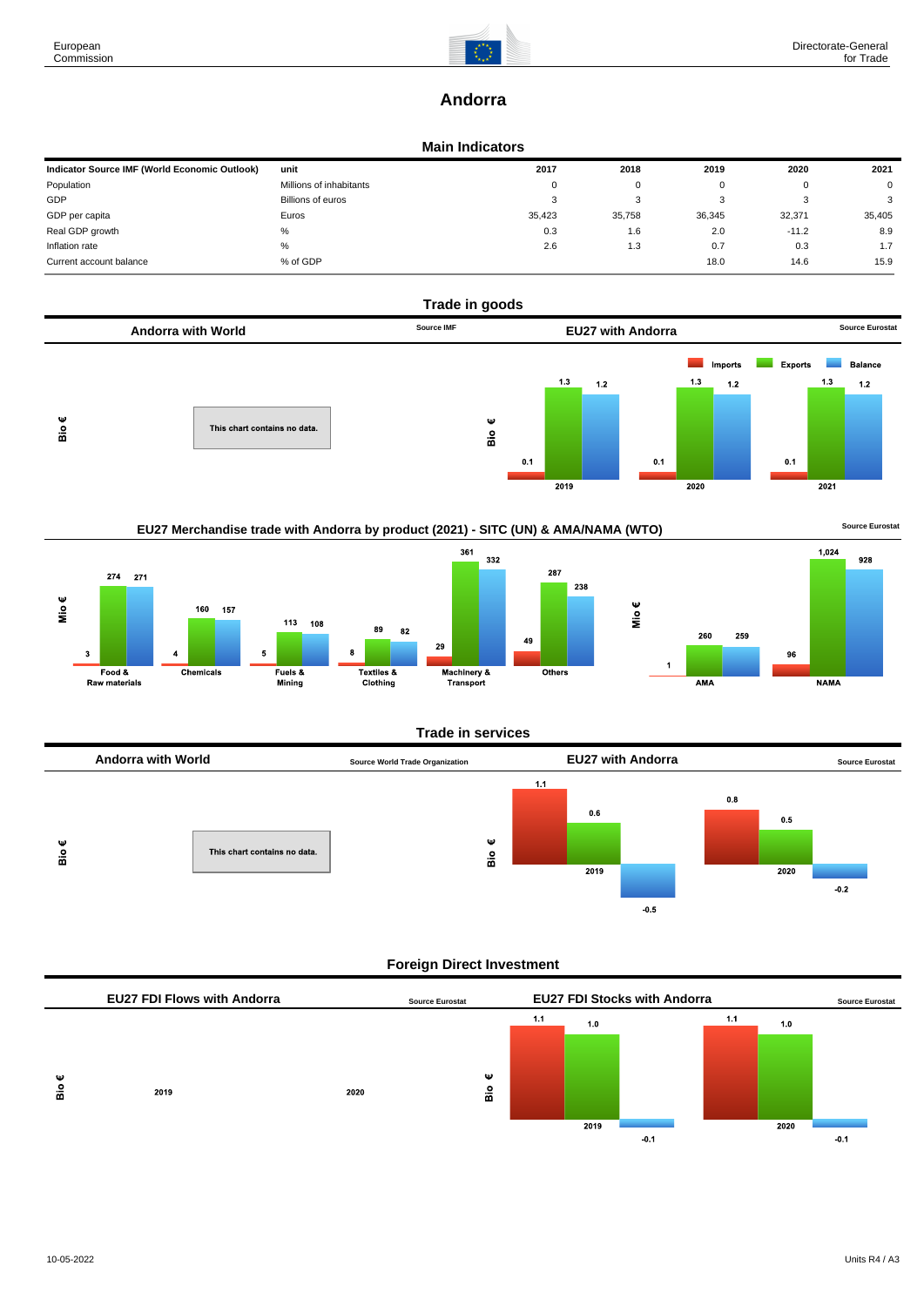

# **Andorra**

#### **Main Indicators**

| Indicator Source IMF (World Economic Outlook) | unit                    | 2017   | 2018   | 2019   | 2020    | 2021   |
|-----------------------------------------------|-------------------------|--------|--------|--------|---------|--------|
| Population                                    | Millions of inhabitants | 0      | 0      |        | O       | 0      |
| GDP                                           | Billions of euros       | ು      | 3      |        | P       | 3      |
| GDP per capita                                | Euros                   | 35,423 | 35,758 | 36,345 | 32,371  | 35,405 |
| Real GDP growth                               | %                       | 0.3    | 1.6    | 2.0    | $-11.2$ | 8.9    |
| Inflation rate                                | %                       | 2.6    | 1.3    | 0.7    | 0.3     | 1.7    |
| Current account balance                       | % of GDP                |        |        | 18.0   | 14.6    | 15.9   |







## **Trade in services**



## **Foreign Direct Investment**